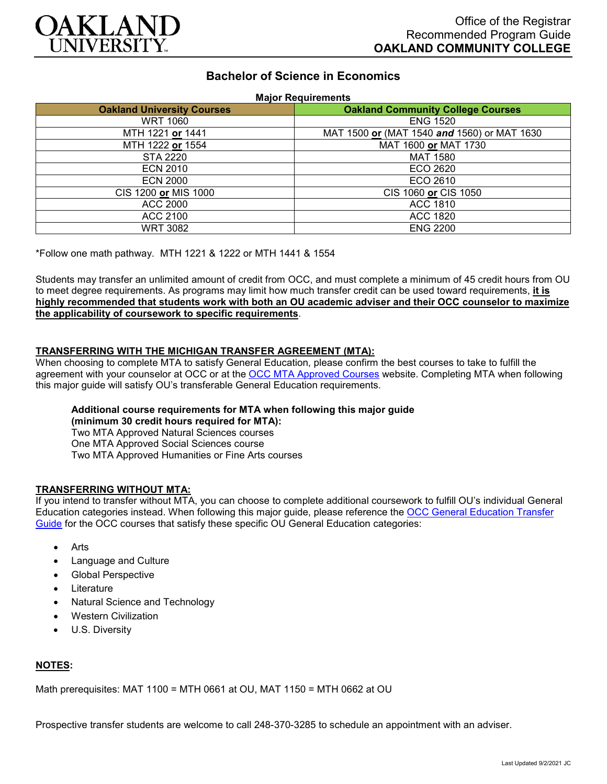

# **Bachelor of Science in Economics**

**Major Requirements**

| <b>Oakland University Courses</b> | <b>Oakland Community College Courses</b>    |
|-----------------------------------|---------------------------------------------|
| <b>WRT 1060</b>                   | <b>ENG 1520</b>                             |
| MTH 1221 or 1441                  | MAT 1500 or (MAT 1540 and 1560) or MAT 1630 |
| MTH 1222 or 1554                  | MAT 1600 or MAT 1730                        |
| STA 2220                          | <b>MAT 1580</b>                             |
| <b>ECN 2010</b>                   | ECO 2620                                    |
| <b>ECN 2000</b>                   | ECO 2610                                    |
| CIS 1200 or MIS 1000              | CIS 1060 or CIS 1050                        |
| ACC 2000                          | <b>ACC 1810</b>                             |
| ACC 2100                          | ACC 1820                                    |
| WRT 3082                          | <b>ENG 2200</b>                             |

\*Follow one math pathway. MTH 1221 & 1222 or MTH 1441 & 1554

Students may transfer an unlimited amount of credit from OCC, and must complete a minimum of 45 credit hours from OU to meet degree requirements. As programs may limit how much transfer credit can be used toward requirements, **it is highly recommended that students work with both an OU academic adviser and their OCC counselor to maximize the applicability of coursework to specific requirements**.

### **TRANSFERRING WITH THE MICHIGAN TRANSFER AGREEMENT (MTA):**

When choosing to complete MTA to satisfy General Education, please confirm the best courses to take to fulfill the agreement with your counselor at OCC or at the [OCC MTA Approved Courses](http://catalog.oaklandcc.edu/graduation-requirements/michigan-transfer-agreement/) website. Completing MTA when following this major guide will satisfy OU's transferable General Education requirements.

## **Additional course requirements for MTA when following this major guide**

**(minimum 30 credit hours required for MTA):**

Two MTA Approved Natural Sciences courses One MTA Approved Social Sciences course Two MTA Approved Humanities or Fine Arts courses

#### **TRANSFERRING WITHOUT MTA:**

If you intend to transfer without MTA, you can choose to complete additional coursework to fulfill OU's individual General Education categories instead. When following this major guide, please reference the [OCC General Education Transfer](https://www.oakland.edu/Assets/Oakland/program-guides/oakland-community-college/university-general-education-requirements/OCC%20Gen%20Ed.pdf)  [Guide](https://www.oakland.edu/Assets/Oakland/program-guides/oakland-community-college/university-general-education-requirements/OCC%20Gen%20Ed.pdf) for the OCC courses that satisfy these specific OU General Education categories:

- Arts
- Language and Culture
- Global Perspective
- **Literature**
- Natural Science and Technology
- Western Civilization
- U.S. Diversity

## **NOTES:**

Math prerequisites: MAT 1100 = MTH 0661 at OU, MAT 1150 = MTH 0662 at OU

Prospective transfer students are welcome to call 248-370-3285 to schedule an appointment with an adviser.